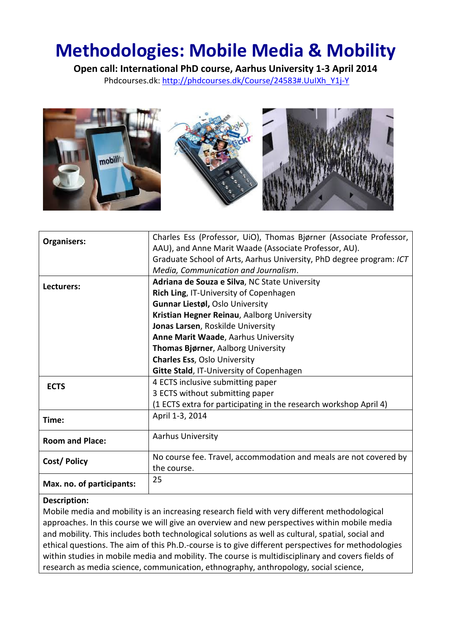# Methodologies: Mobile Media & Mobility

Open call: International PhD course, Aarhus University 1-3 April 2014 Phdcourses.dk: http://phdcourses.dk/Course/24583#.UuIXh\_Y1j-Y



| Organisers:               | Charles Ess (Professor, UiO), Thomas Bjørner (Associate Professor,  |
|---------------------------|---------------------------------------------------------------------|
|                           | AAU), and Anne Marit Waade (Associate Professor, AU).               |
|                           | Graduate School of Arts, Aarhus University, PhD degree program: ICT |
|                           | Media, Communication and Journalism.                                |
| Lecturers:                | Adriana de Souza e Silva, NC State University                       |
|                           | Rich Ling, IT-University of Copenhagen                              |
|                           | <b>Gunnar Liestøl, Oslo University</b>                              |
|                           | Kristian Hegner Reinau, Aalborg University                          |
|                           | Jonas Larsen, Roskilde University                                   |
|                           | Anne Marit Waade, Aarhus University                                 |
|                           | Thomas Bjørner, Aalborg University                                  |
|                           | <b>Charles Ess, Oslo University</b>                                 |
|                           | <b>Gitte Stald, IT-University of Copenhagen</b>                     |
| <b>ECTS</b>               | 4 ECTS inclusive submitting paper                                   |
|                           | 3 ECTS without submitting paper                                     |
|                           | (1 ECTS extra for participating in the research workshop April 4)   |
| Time:                     | April 1-3, 2014                                                     |
| <b>Room and Place:</b>    | <b>Aarhus University</b>                                            |
|                           | No course fee. Travel, accommodation and meals are not covered by   |
| Cost/Policy               | the course.                                                         |
| Max. no. of participants: | 25                                                                  |

#### Description:

Mobile media and mobility is an increasing research field with very different methodological approaches. In this course we will give an overview and new perspectives within mobile media and mobility. This includes both technological solutions as well as cultural, spatial, social and ethical questions. The aim of this Ph.D.-course is to give different perspectives for methodologies within studies in mobile media and mobility. The course is multidisciplinary and covers fields of research as media science, communication, ethnography, anthropology, social science,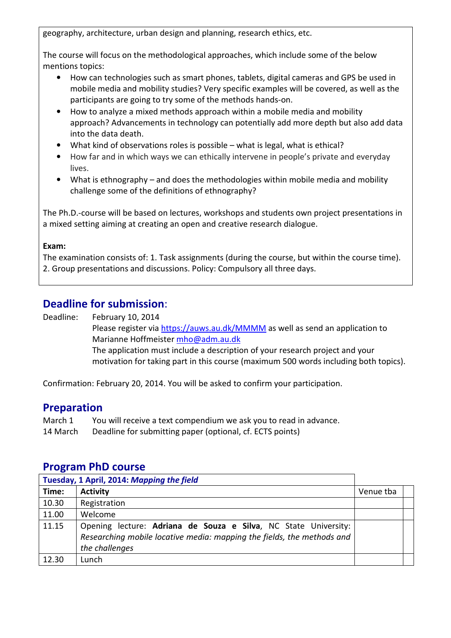geography, architecture, urban design and planning, research ethics, etc.

The course will focus on the methodological approaches, which include some of the below mentions topics:

- How can technologies such as smart phones, tablets, digital cameras and GPS be used in mobile media and mobility studies? Very specific examples will be covered, as well as the participants are going to try some of the methods hands-on.
- How to analyze a mixed methods approach within a mobile media and mobility approach? Advancements in technology can potentially add more depth but also add data into the data death.
- What kind of observations roles is possible what is legal, what is ethical?
- How far and in which ways we can ethically intervene in people's private and everyday lives.
- What is ethnography and does the methodologies within mobile media and mobility challenge some of the definitions of ethnography?

The Ph.D.-course will be based on lectures, workshops and students own project presentations in a mixed setting aiming at creating an open and creative research dialogue.

#### Exam:

The examination consists of: 1. Task assignments (during the course, but within the course time). 2. Group presentations and discussions. Policy: Compulsory all three days.

## Deadline for submission:

Deadline: February 10, 2014

Please register via https://auws.au.dk/MMMM as well as send an application to Marianne Hoffmeister mho@adm.au.dk The application must include a description of your research project and your motivation for taking part in this course (maximum 500 words including both topics).

Confirmation: February 20, 2014. You will be asked to confirm your participation.

## Preparation

- March 1 You will receive a text compendium we ask you to read in advance.
- 14 March Deadline for submitting paper (optional, cf. ECTS points)

### Program PhD course

| Tuesday, 1 April, 2014: Mapping the field |                                                                                                                                                             |           |  |
|-------------------------------------------|-------------------------------------------------------------------------------------------------------------------------------------------------------------|-----------|--|
| Time:                                     | <b>Activity</b>                                                                                                                                             | Venue tba |  |
| 10.30                                     | Registration                                                                                                                                                |           |  |
| 11.00                                     | Welcome                                                                                                                                                     |           |  |
| 11.15                                     | Opening lecture: Adriana de Souza e Silva, NC State University:<br>Researching mobile locative media: mapping the fields, the methods and<br>the challenges |           |  |
| 12.30                                     | Lunch                                                                                                                                                       |           |  |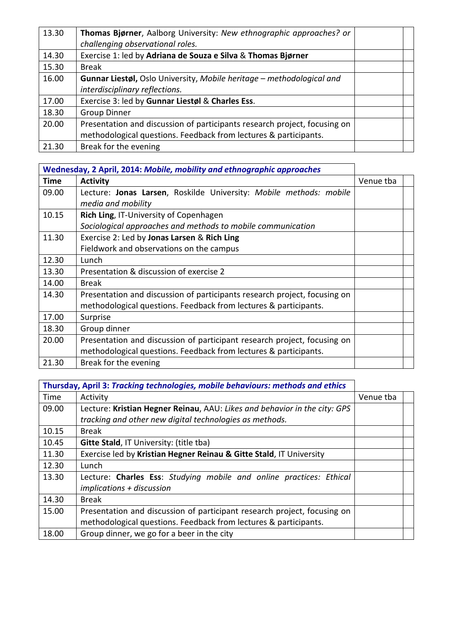| 13.30 | Thomas Bjørner, Aalborg University: New ethnographic approaches? or<br>challenging observational roles. |  |
|-------|---------------------------------------------------------------------------------------------------------|--|
| 14.30 | Exercise 1: led by Adriana de Souza e Silva & Thomas Bjørner                                            |  |
| 15.30 | <b>Break</b>                                                                                            |  |
| 16.00 | Gunnar Liestøl, Oslo University, Mobile heritage - methodological and                                   |  |
|       | interdisciplinary reflections.                                                                          |  |
| 17.00 | Exercise 3: led by Gunnar Liestøl & Charles Ess.                                                        |  |
| 18.30 | <b>Group Dinner</b>                                                                                     |  |
| 20.00 | Presentation and discussion of participants research project, focusing on                               |  |
|       | methodological questions. Feedback from lectures & participants.                                        |  |
| 21.30 | Break for the evening                                                                                   |  |

| Wednesday, 2 April, 2014: Mobile, mobility and ethnographic approaches |                                                                           |           |
|------------------------------------------------------------------------|---------------------------------------------------------------------------|-----------|
| Time                                                                   | <b>Activity</b>                                                           | Venue tba |
| 09.00                                                                  | Lecture: Jonas Larsen, Roskilde University: Mobile methods: mobile        |           |
|                                                                        | media and mobility                                                        |           |
| 10.15                                                                  | Rich Ling, IT-University of Copenhagen                                    |           |
|                                                                        | Sociological approaches and methods to mobile communication               |           |
| 11.30                                                                  | Exercise 2: Led by Jonas Larsen & Rich Ling                               |           |
|                                                                        | Fieldwork and observations on the campus                                  |           |
| 12.30                                                                  | Lunch                                                                     |           |
| 13.30                                                                  | Presentation & discussion of exercise 2                                   |           |
| 14.00                                                                  | <b>Break</b>                                                              |           |
| 14.30                                                                  | Presentation and discussion of participants research project, focusing on |           |
|                                                                        | methodological questions. Feedback from lectures & participants.          |           |
| 17.00                                                                  | Surprise                                                                  |           |
| 18.30                                                                  | Group dinner                                                              |           |
| 20.00                                                                  | Presentation and discussion of participant research project, focusing on  |           |
|                                                                        | methodological questions. Feedback from lectures & participants.          |           |
| 21.30                                                                  | Break for the evening                                                     |           |

|       | Thursday, April 3: Tracking technologies, mobile behaviours: methods and ethics |           |  |
|-------|---------------------------------------------------------------------------------|-----------|--|
| Time  | Activity                                                                        | Venue tba |  |
| 09.00 | Lecture: Kristian Hegner Reinau, AAU: Likes and behavior in the city: GPS       |           |  |
|       | tracking and other new digital technologies as methods.                         |           |  |
| 10.15 | <b>Break</b>                                                                    |           |  |
| 10.45 | <b>Gitte Stald, IT University: (title tba)</b>                                  |           |  |
| 11.30 | Exercise led by Kristian Hegner Reinau & Gitte Stald, IT University             |           |  |
| 12.30 | Lunch                                                                           |           |  |
| 13.30 | Lecture: Charles Ess: Studying mobile and online practices: Ethical             |           |  |
|       | $implications + discussion$                                                     |           |  |
| 14.30 | <b>Break</b>                                                                    |           |  |
| 15.00 | Presentation and discussion of participant research project, focusing on        |           |  |
|       | methodological questions. Feedback from lectures & participants.                |           |  |
| 18.00 | Group dinner, we go for a beer in the city                                      |           |  |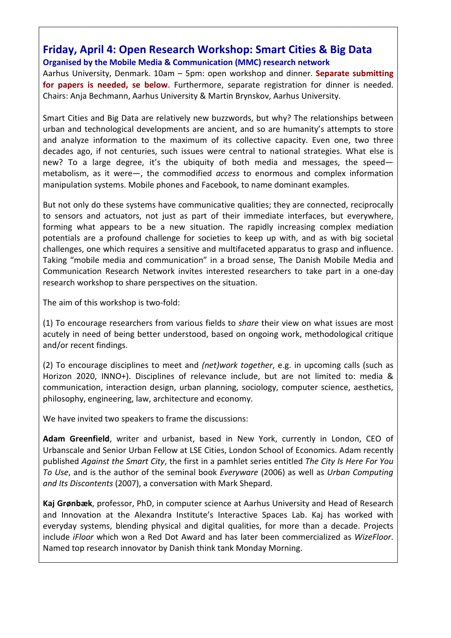## Friday, April 4: Open Research Workshop: Smart Cities & Big Data Organised by the Mobile Media & Communication (MMC) research network

Aarhus University, Denmark. 10am – 5pm: open workshop and dinner. Separate submitting for papers is needed, se below. Furthermore, separate registration for dinner is needed. Chairs: Anja Bechmann, Aarhus University & Martin Brynskov, Aarhus University.

Smart Cities and Big Data are relatively new buzzwords, but why? The relationships between urban and technological developments are ancient, and so are humanity's attempts to store and analyze information to the maximum of its collective capacity. Even one, two three decades ago, if not centuries, such issues were central to national strategies. What else is new? To a large degree, it's the ubiquity of both media and messages, the speed metabolism, as it were—, the commodified access to enormous and complex information manipulation systems. Mobile phones and Facebook, to name dominant examples.

But not only do these systems have communicative qualities; they are connected, reciprocally to sensors and actuators, not just as part of their immediate interfaces, but everywhere, forming what appears to be a new situation. The rapidly increasing complex mediation potentials are a profound challenge for societies to keep up with, and as with big societal challenges, one which requires a sensitive and multifaceted apparatus to grasp and influence. Taking "mobile media and communication" in a broad sense, The Danish Mobile Media and Communication Research Network invites interested researchers to take part in a one-day research workshop to share perspectives on the situation.

The aim of this workshop is two-fold:

(1) To encourage researchers from various fields to share their view on what issues are most acutely in need of being better understood, based on ongoing work, methodological critique and/or recent findings.

(2) To encourage disciplines to meet and *(net)work together*, e.g. in upcoming calls (such as Horizon 2020, INNO+). Disciplines of relevance include, but are not limited to: media & communication, interaction design, urban planning, sociology, computer science, aesthetics, philosophy, engineering, law, architecture and economy.

We have invited two speakers to frame the discussions:

Adam Greenfield, writer and urbanist, based in New York, currently in London, CEO of Urbanscale and Senior Urban Fellow at LSE Cities, London School of Economics. Adam recently published Against the Smart City, the first in a pamhlet series entitled The City Is Here For You To Use, and is the author of the seminal book Everyware (2006) as well as Urban Computing and Its Discontents (2007), a conversation with Mark Shepard.

Kaj Grønbæk, professor, PhD, in computer science at Aarhus University and Head of Research and Innovation at the Alexandra Institute's Interactive Spaces Lab. Kaj has worked with everyday systems, blending physical and digital qualities, for more than a decade. Projects include iFloor which won a Red Dot Award and has later been commercialized as WizeFloor. Named top research innovator by Danish think tank Monday Morning.